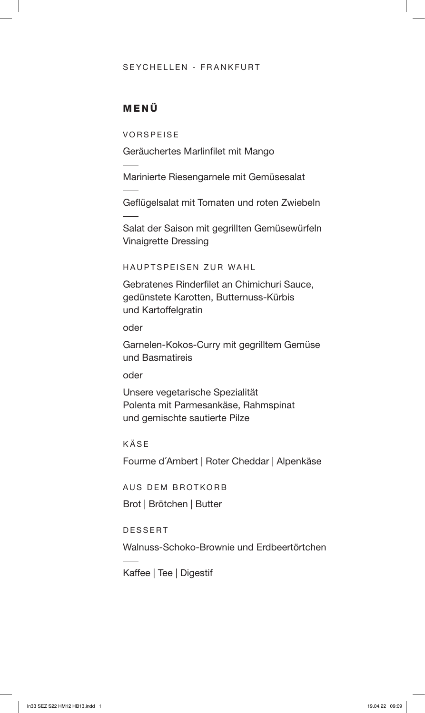#### SEYCHELLEN - FRANKFURT

### MENÜ

VORSPEISE

Geräuchertes Marlinfilet mit Mango

Marinierte Riesengarnele mit Gemüsesalat

Geflügelsalat mit Tomaten und roten Zwiebeln

Salat der Saison mit gegrillten Gemüsewürfeln Vinaigrette Dressing

HAUPTSPEISEN ZUR WAHL

Gebratenes Rinderfilet an Chimichuri Sauce, gedünstete Karotten, Butternuss-Kürbis und Kartoffelgratin

oder

Garnelen-Kokos-Curry mit gegrilltem Gemüse und Basmatireis

oder

Unsere vegetarische Spezialität Polenta mit Parmesankäse, Rahmspinat und gemischte sautierte Pilze

KÄSE

Fourme d´Ambert | Roter Cheddar | Alpenkäse

AUS DEM BROTKORB

Brot | Brötchen | Butter

DESSERT

Walnuss-Schoko-Brownie und Erdbeertörtchen

Kaffee | Tee | Digestif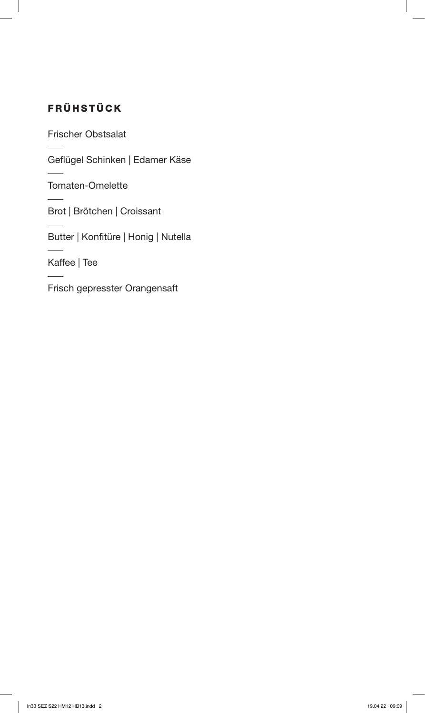# FRÜHSTÜCK

Frischer Obstsalat

Geflügel Schinken | Edamer Käse

Tomaten-Omelette

Brot | Brötchen | Croissant

Butter | Konfitüre | Honig | Nutella

Kaffee | Tee

Frisch gepresster Orangensaft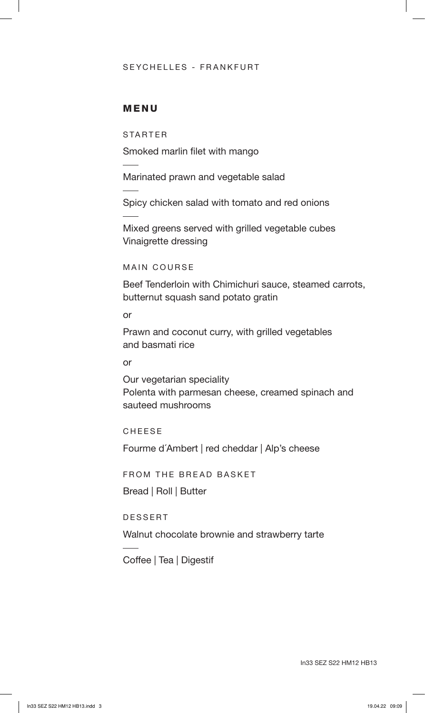#### SEYCHELLES - FRANKFURT

#### MENU

STARTER

Smoked marlin filet with mango

Marinated prawn and vegetable salad

Spicy chicken salad with tomato and red onions

Mixed greens served with grilled vegetable cubes Vinaigrette dressing

MAIN COURSE

Beef Tenderloin with Chimichuri sauce, steamed carrots, butternut squash sand potato gratin

or

Prawn and coconut curry, with grilled vegetables and basmati rice

or

Our vegetarian speciality Polenta with parmesan cheese, creamed spinach and sauteed mushrooms

CHEESE

Fourme d´Ambert | red cheddar | Alp's cheese

FROM THE BREAD BASKET

Bread | Roll | Butter

DESSERT

Walnut chocolate brownie and strawberry tarte

Coffee | Tea | Digestif

In33 SEZ S22 HM12 HB13